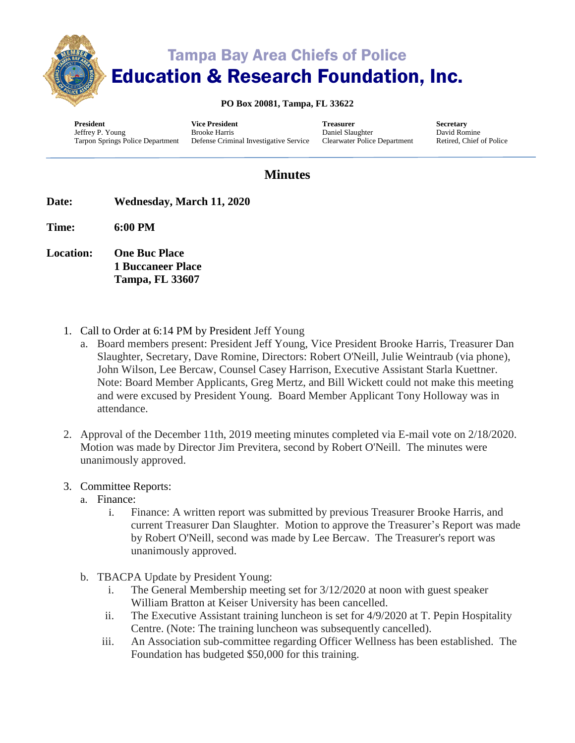

# Tampa Bay Area Chiefs of Police Education & Research Foundation, Inc.

#### **PO Box 20081, Tampa, FL 33622**

**President** Jeffrey P. Young Tarpon Springs Police Department **Vice President** Brooke Harris

Defense Criminal Investigative Service

**Treasurer** Daniel Slaughter Clearwater Police Department **Secretary** David Romine Retired, Chief of Police

### **Minutes**

- **Date: Wednesday, March 11, 2020**
- **Time: 6:00 PM**
- **Location: One Buc Place 1 Buccaneer Place Tampa, FL 33607**
	- 1. Call to Order at 6:14 PM by President Jeff Young
		- a. Board members present: President Jeff Young, Vice President Brooke Harris, Treasurer Dan Slaughter, Secretary, Dave Romine, Directors: Robert O'Neill, Julie Weintraub (via phone), John Wilson, Lee Bercaw, Counsel Casey Harrison, Executive Assistant Starla Kuettner. Note: Board Member Applicants, Greg Mertz, and Bill Wickett could not make this meeting and were excused by President Young. Board Member Applicant Tony Holloway was in attendance.
	- 2. Approval of the December 11th, 2019 meeting minutes completed via E-mail vote on 2/18/2020. Motion was made by Director Jim Previtera, second by Robert O'Neill. The minutes were unanimously approved.
	- 3. Committee Reports:
		- a. Finance:
			- i. Finance: A written report was submitted by previous Treasurer Brooke Harris, and current Treasurer Dan Slaughter. Motion to approve the Treasurer's Report was made by Robert O'Neill, second was made by Lee Bercaw. The Treasurer's report was unanimously approved.
		- b. TBACPA Update by President Young:
			- i. The General Membership meeting set for 3/12/2020 at noon with guest speaker William Bratton at Keiser University has been cancelled.
			- ii. The Executive Assistant training luncheon is set for 4/9/2020 at T. Pepin Hospitality Centre. (Note: The training luncheon was subsequently cancelled).
			- iii. An Association sub-committee regarding Officer Wellness has been established. The Foundation has budgeted \$50,000 for this training.